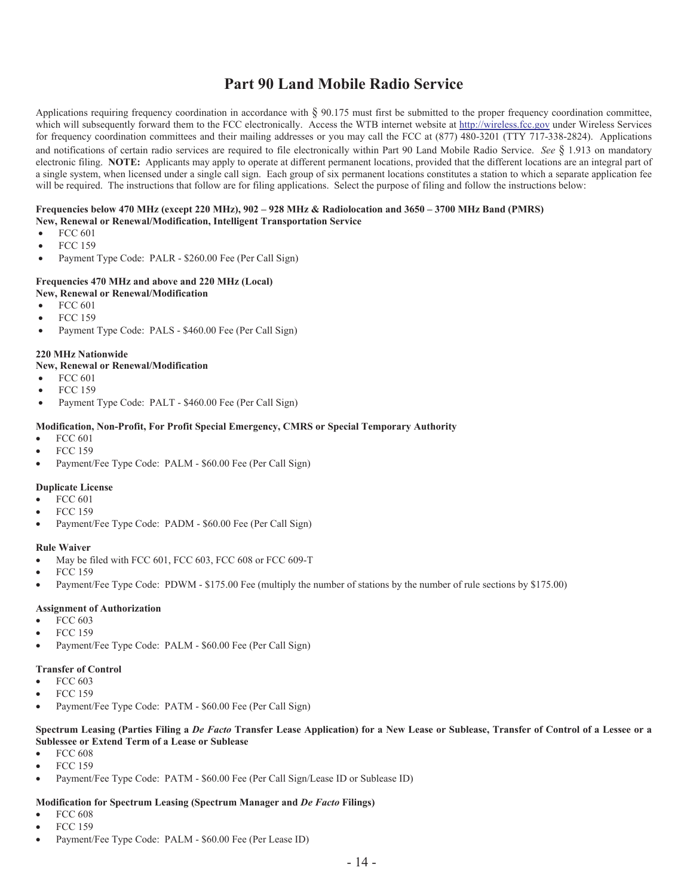# **Part 90 Land Mobile Radio Service**

Applications requiring frequency coordination in accordance with § 90.175 must first be submitted to the proper frequency coordination committee, which will subsequently forward them to the FCC electronically. Access the WTB internet website at http://wireless.fcc.gov under Wireless Services for frequency coordination committees and their mailing addresses or you may call the FCC at (877) 480-3201 (TTY 717-338-2824). Applications and notifications of certain radio services are required to file electronically within Part 90 Land Mobile Radio Service. *See* § 1.913 on mandatory electronic filing. **NOTE:** Applicants may apply to operate at different permanent locations, provided that the different locations are an integral part of a single system, when licensed under a single call sign. Each group of six permanent locations constitutes a station to which a separate application fee will be required. The instructions that follow are for filing applications. Select the purpose of filing and follow the instructions below:

## **Frequencies below 470 MHz (except 220 MHz), 902 – 928 MHz & Radiolocation and 3650 – 3700 MHz Band (PMRS)**

- **New, Renewal or Renewal/Modification, Intelligent Transportation Service**
- FCC 601
- · FCC 159
- · Payment Type Code: PALR \$260.00 Fee (Per Call Sign)

## **Frequencies 470 MHz and above and 220 MHz (Local)**

- **New, Renewal or Renewal/Modification**
- FCC 601
- · FCC 159
- Payment Type Code: PALS \$460.00 Fee (Per Call Sign)

#### **220 MHz Nationwide**

#### **New, Renewal or Renewal/Modification**

- · FCC 601
- · FCC 159
- Payment Type Code: PALT \$460.00 Fee (Per Call Sign)

### **Modification, Non-Profit, For Profit Special Emergency, CMRS or Special Temporary Authority**

- · FCC 601
- · FCC 159
- Payment/Fee Type Code: PALM \$60.00 Fee (Per Call Sign)

## **Duplicate License**

- · FCC 601
- · FCC 159
- Payment/Fee Type Code: PADM \$60.00 Fee (Per Call Sign)

#### **Rule Waiver**

- May be filed with FCC 601, FCC 603, FCC 608 or FCC 609-T
- · FCC 159
- Payment/Fee Type Code: PDWM \$175.00 Fee (multiply the number of stations by the number of rule sections by \$175.00)

#### **Assignment of Authorization**

- · FCC 603
- · FCC 159
- Payment/Fee Type Code: PALM \$60.00 Fee (Per Call Sign)

#### **Transfer of Control**

- · FCC 603
- · FCC 159
- Payment/Fee Type Code: PATM \$60.00 Fee (Per Call Sign)

#### **Spectrum Leasing (Parties Filing a** *De Facto* **Transfer Lease Application) for a New Lease or Sublease, Transfer of Control of a Lessee or a Sublessee or Extend Term of a Lease or Sublease**

- · FCC 608
- · FCC 159
- Payment/Fee Type Code: PATM \$60.00 Fee (Per Call Sign/Lease ID or Sublease ID)

## **Modification for Spectrum Leasing (Spectrum Manager and** *De Facto* **Filings)**

- · FCC 608
- · FCC 159
- Payment/Fee Type Code: PALM \$60.00 Fee (Per Lease ID)